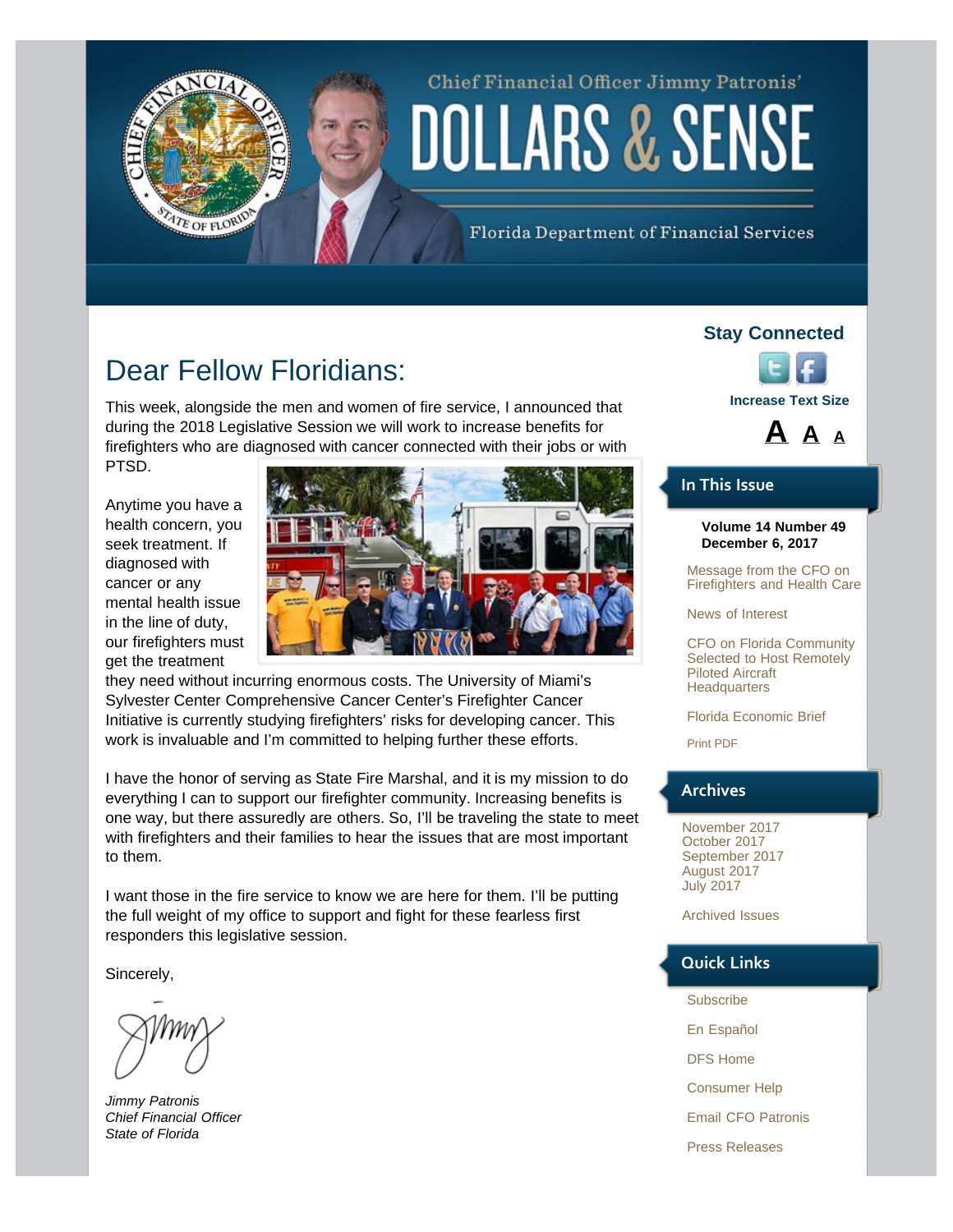# Chief Financial Officer Jimmy Patronis' DOLLARS & SENSE

Florida Department of Financial Services

### Dear Fellow Floridians:

<span id="page-0-0"></span>TE OF FLORID

This week, alongside the men and women of fire service, I announced that during the 2018 Legislative Session we will work to increase benefits for firefighters who are diagnosed with cancer connected with their jobs or with PTSD.

Anytime you have a health concern, you seek treatment. If diagnosed with cancer or any mental health issue in the line of duty, our firefighters must get the treatment



they need without incurring enormous costs. The University of Miami's Sylvester Center Comprehensive Cancer Center's Firefighter Cancer Initiative is currently studying firefighters' risks for developing cancer. This work is invaluable and I'm committed to helping further these efforts.

I have the honor of serving as State Fire Marshal, and it is my mission to do everything I can to support our firefighter community. Increasing benefits is one way, but there assuredly are others. So, I'll be traveling the state to meet with firefighters and their families to hear the issues that are most important to them.

I want those in the fire service to know we are here for them. I'll be putting the full weight of my office to support and fight for these fearless first responders this legislative session.

Sincerely,

*Jimmy Patronis Chief Financial Officer State of Florida* 

#### **Stay Connected**





#### **In This Issue**

#### **Volume 14 Number 49 December 6, 2017**

[Message from the CFO on](#page-0-0) [Firefighters and Health Care](#page-0-0)

[News of Interest](#page-1-0)

[CFO on Florida Community](#page-1-1) [Selected to Host Remotely](#page-1-1) [Piloted Aircraft](#page-1-1) **[Headquarters](#page-1-1)** 

[Florida Economic Brief](#page-2-0)

[Print PDF](http://www.myfloridacfo.com/PressOffice/Newsletter/2017/120617/CFOPatronisDollarsSense120617.pdf)

#### **Archives**

[November 2017](http://staging.fldoi.gov/pressoffice/newsletter/newsletter_archivenew.htm#5) [October 2017](http://staging.fldoi.gov/pressoffice/newsletter/newsletter_archivenew.htm#4) [September 2017](http://staging.fldoi.gov/pressoffice/newsletter/newsletter_archivenew.htm#3) [August 2017](http://staging.fldoi.gov/pressoffice/newsletter/newsletter_archivenew.htm#2) [July 2017](http://staging.fldoi.gov/pressoffice/newsletter/newsletter_archivenew.htm#1)

[Archived Issues](http://staging.fldoi.gov/pressoffice/newsletter/2014Issues.aspx#2017)

#### **Quick Links**

- [Subscribe](http://dfs.imarcsgroup.com/home/)
- [En Español](http://espanol.myfloridacfo.com/)
- [DFS Home](http://www.myfloridacfo.com/)
- [Consumer Help](http://www.myfloridacfo.com/Division/Consumers/needourhelp.htm)
- [Email CFO Patronis](mailto:CFO.Patronis@MyFloridaCFO.com)
- [Press Releases](http://www.myfloridacfo.com/sitePages/newsroom/default.aspx)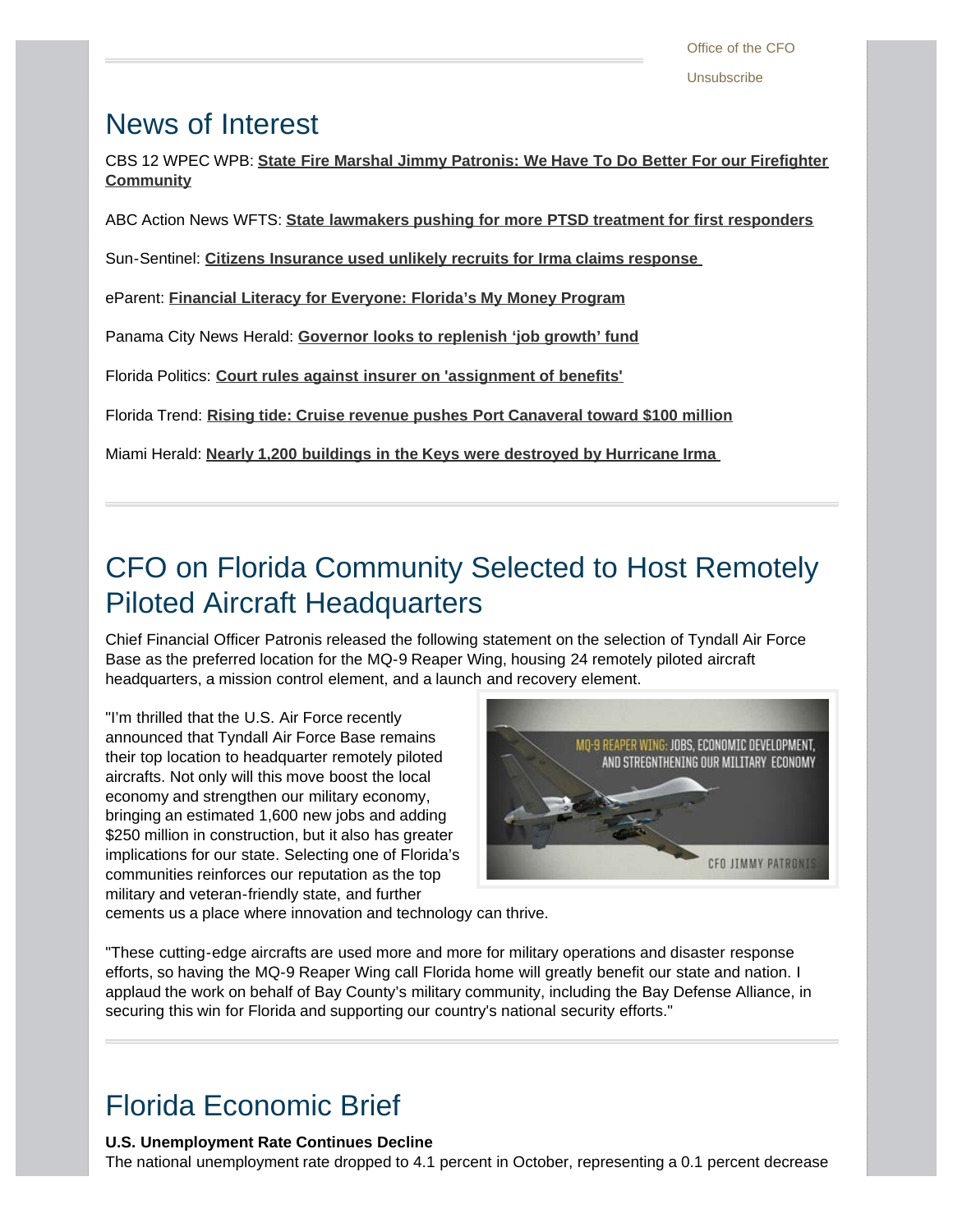### <span id="page-1-0"></span>News of Interest

CBS 12 WPEC WPB: **[State Fire Marshal Jimmy Patronis: We Have To Do Better For our Firefighter](http://mms.tveyes.com/MediaCenterPlayer.aspx?u=aHR0cDovL21lZGlhY2VudGVyLnR2ZXllcy5jb20vZG93bmxvYWRnYXRld2F5LmFzcHg%2FVXNlcklEPTI1NzY0MSZNRElEPTkwNjE0NjImTURTZWVkPTcwOTAmVHlwZT1NZWRpYQ%3D%3D) [Community](http://mms.tveyes.com/MediaCenterPlayer.aspx?u=aHR0cDovL21lZGlhY2VudGVyLnR2ZXllcy5jb20vZG93bmxvYWRnYXRld2F5LmFzcHg%2FVXNlcklEPTI1NzY0MSZNRElEPTkwNjE0NjImTURTZWVkPTcwOTAmVHlwZT1NZWRpYQ%3D%3D)**

ABC Action News WFTS: **[State lawmakers pushing for more PTSD treatment for first responders](http://www.abcactionnews.com/news/state-lawmakers-pushing-for-more-ptsd-treatment-for-first-responders?autoplay=true)**

Sun-Sentinel: **[Citizens Insurance used unlikely recruits for Irma claims response](http://www.sun-sentinel.com/business/fl-bz-citizens-irma-adjuster-shortfall-20171130-story.html)** 

eParent: **[Financial Literacy for Everyone: Florida's My Money Program](http://www.eparent.com/money-uncategorized/financial-literacy-everyone-floridas-money-program/)**

Panama City News Herald: **[Governor looks to replenish 'job growth' fund](http://www.newsherald.com/news/20171204/governor-looks-to-replenish-job-growth-fund)**

Florida Politics: **[Court rules against insurer on 'assignment of benefits'](http://floridapolitics.com/archives/250965-court-rules-insurer-assignment-benefits)**

Florida Trend: **[Rising tide: Cruise revenue pushes Port Canaveral toward \\$100 million](http://www.floridatrend.com/article/23311/rising-tide-cruise-revenue-pushes-port-canaveral-toward-100-million)**

Miami Herald: **[Nearly 1,200 buildings in the Keys were destroyed by Hurricane Irma](http://www.miamiherald.com/news/local/community/florida-keys/article187816479.html)** 

## <span id="page-1-1"></span>CFO on Florida Community Selected to Host Remotely Piloted Aircraft Headquarters

Chief Financial Officer Patronis released the following statement on the selection of Tyndall Air Force Base as the preferred location for the MQ-9 Reaper Wing, housing 24 remotely piloted aircraft headquarters, a mission control element, and a launch and recovery element.

"I'm thrilled that the U.S. Air Force recently announced that Tyndall Air Force Base remains their top location to headquarter remotely piloted aircrafts. Not only will this move boost the local economy and strengthen our military economy, bringing an estimated 1,600 new jobs and adding \$250 million in construction, but it also has greater implications for our state. Selecting one of Florida's communities reinforces our reputation as the top military and veteran-friendly state, and further



cements us a place where innovation and technology can thrive.

"These cutting-edge aircrafts are used more and more for military operations and disaster response efforts, so having the MQ-9 Reaper Wing call Florida home will greatly benefit our state and nation. I applaud the work on behalf of Bay County's military community, including the Bay Defense Alliance, in securing this win for Florida and supporting our country's national security efforts."

# Florida Economic Brief

#### **U.S. Unemployment Rate Continues Decline**

The national unemployment rate dropped to 4.1 percent in October, representing a 0.1 percent decrease